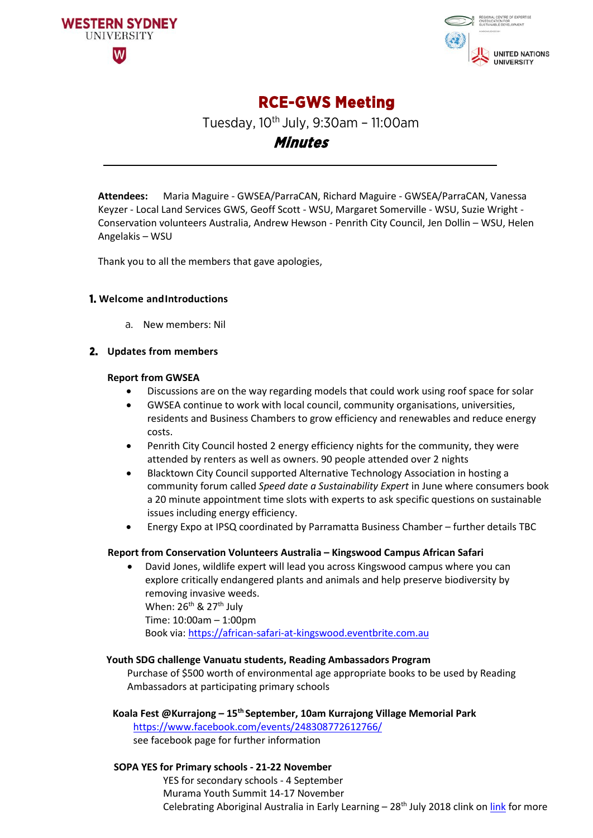



**RCE-GWS Meeting** 

Tuesday,  $10^{th}$  July, 9:30am - 11:00am

**Minutes** 

**Attendees:** Maria Maguire - GWSEA/ParraCAN, Richard Maguire - GWSEA/ParraCAN, Vanessa Keyzer - Local Land Services GWS, Geoff Scott - WSU, Margaret Somerville - WSU, Suzie Wright - Conservation volunteers Australia, Andrew Hewson - Penrith City Council, Jen Dollin – WSU, Helen Angelakis – WSU

Thank you to all the members that gave apologies,

## **1. Welcome andIntroductions**

a. New members: Nil

### **2. Updates from members**

### **Report from GWSEA**

- Discussions are on the way regarding models that could work using roof space for solar
- GWSEA continue to work with local council, community organisations, universities, residents and Business Chambers to grow efficiency and renewables and reduce energy costs.
- Penrith City Council hosted 2 energy efficiency nights for the community, they were attended by renters as well as owners. 90 people attended over 2 nights
- Blacktown City Council supported Alternative Technology Association in hosting a community forum called *Speed date a Sustainability Expert* in June where consumers book a 20 minute appointment time slots with experts to ask specific questions on sustainable issues including energy efficiency.
- Energy Expo at IPSQ coordinated by Parramatta Business Chamber further details TBC

## **Report from Conservation Volunteers Australia – Kingswood Campus African Safari**

• David Jones, wildlife expert will lead you across Kingswood campus where you can explore critically endangered plants and animals and help preserve biodiversity by removing invasive weeds. When:  $26^{th}$  &  $27^{th}$  July Time: 10:00am – 1:00pm Book via: [https://african-safari-at-kingswood.eventbrite.com.au](https://african-safari-at-kingswood.eventbrite.com.au/)

### **Youth SDG challenge Vanuatu students, Reading Ambassadors Program**

Purchase of \$500 worth of environmental age appropriate books to be used by Reading Ambassadors at participating primary schools

## **Koala Fest @Kurrajong – 15th September, 10am Kurrajong Village Memorial Park**

<https://www.facebook.com/events/248308772612766/> see facebook page for further information

## **SOPA YES for Primary schools - 21-22 November**

YES for secondary schools - 4 September Murama Youth Summit 14-17 November Celebrating Aboriginal Australia in Early Learning  $-28<sup>th</sup>$  July 2018 clink on [link](https://www.sydneyolympicpark.com.au/Education/Professional-Development/Murama-Teacher-Development-Workshop-Celebrating-Aboriginal-Australia-in-Early-Learning) for more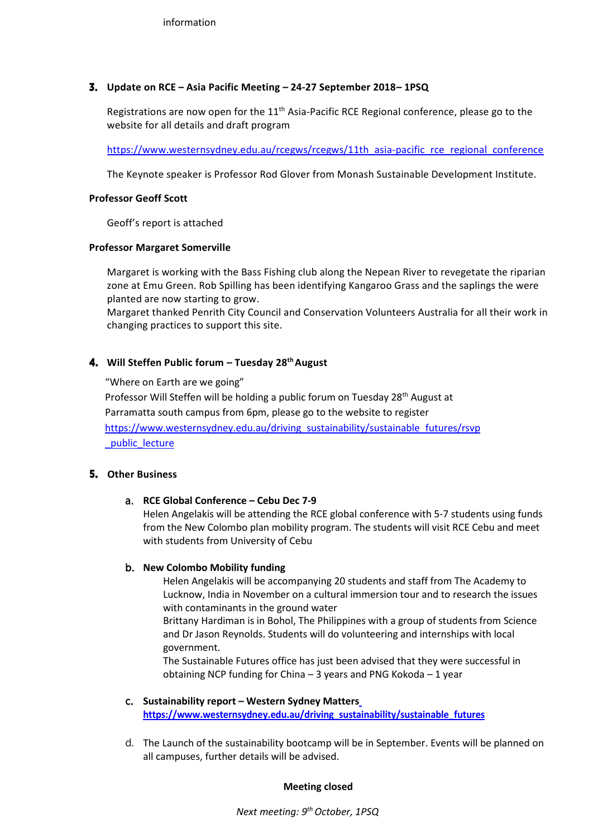## **3. Update on RCE – Asia Pacific Meeting – 24-27 September 2018– 1PSQ**

Registrations are now open for the  $11<sup>th</sup>$  Asia-Pacific RCE Regional conference, please go to the website for all details and draft program

[https://www.westernsydney.edu.au/rcegws/rcegws/11th\\_asia-pacific\\_rce\\_regional\\_conference](https://www.westernsydney.edu.au/rcegws/rcegws/11th_asia-pacific_rce_regional_conference)

The Keynote speaker is Professor Rod Glover from Monash Sustainable Development Institute.

### **Professor Geoff Scott**

Geoff's report is attached

### **Professor Margaret Somerville**

Margaret is working with the Bass Fishing club along the Nepean River to revegetate the riparian zone at Emu Green. Rob Spilling has been identifying Kangaroo Grass and the saplings the were planted are now starting to grow.

Margaret thanked Penrith City Council and Conservation Volunteers Australia for all their work in changing practices to support this site.

## **4.** Will Steffen Public forum – Tuesday 28<sup>th</sup> August

"Where on Earth are we going" Professor Will Steffen will be holding a public forum on Tuesday 28<sup>th</sup> August at Parramatta south campus from 6pm, please go to the website to register [https://www.westernsydney.edu.au/driving\\_sustainability/sustainable\\_futures/rsvp](https://www.westernsydney.edu.au/driving_sustainability/sustainable_futures/rsvp_public_lecture) [\\_public\\_lecture](https://www.westernsydney.edu.au/driving_sustainability/sustainable_futures/rsvp_public_lecture)

### **5. Other Business**

### a. **RCE Global Conference – Cebu Dec 7-9**

Helen Angelakis will be attending the RCE global conference with 5-7 students using funds from the New Colombo plan mobility program. The students will visit RCE Cebu and meet with students from University of Cebu

### b. **New Colombo Mobility funding**

Helen Angelakis will be accompanying 20 students and staff from The Academy to Lucknow, India in November on a cultural immersion tour and to research the issues with contaminants in the ground water

Brittany Hardiman is in Bohol, The Philippines with a group of students from Science and Dr Jason Reynolds. Students will do volunteering and internships with local government.

The Sustainable Futures office has just been advised that they were successful in obtaining NCP funding for China – 3 years and PNG Kokoda – 1 year

- c. **Sustainability report – Western Sydney Matter[s](https://www.westernsydney.edu.au/driving_sustainability/sustainable_futures) [https://www.westernsydney.edu.au/driving\\_sustainability/sustainable\\_futures](https://www.westernsydney.edu.au/driving_sustainability/sustainable_futures)**
- d. The Launch of the sustainability bootcamp will be in September. Events will be planned on all campuses, further details will be advised.

### **Meeting closed**